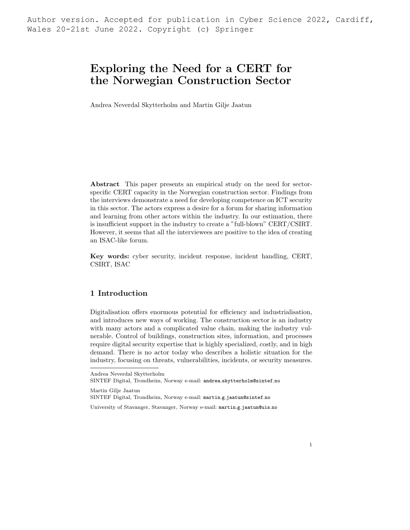Author version. Accepted for publication in Cyber Science 2022, Cardiff, Wales 20-21st June 2022. Copyright (c) Springer

# Exploring the Need for a CERT for the Norwegian Construction Sector

Andrea Neverdal Skytterholm and Martin Gilje Jaatun

Abstract This paper presents an empirical study on the need for sectorspecific CERT capacity in the Norwegian construction sector. Findings from the interviews demonstrate a need for developing competence on ICT security in this sector. The actors express a desire for a forum for sharing information and learning from other actors within the industry. In our estimation, there is insufficient support in the industry to create a "full-blown" CERT/CSIRT. However, it seems that all the interviewees are positive to the idea of creating an ISAC-like forum.

Key words: cyber security, incident response, incident handling, CERT, CSIRT, ISAC

## 1 Introduction

Digitalisation offers enormous potential for efficiency and industrialisation, and introduces new ways of working. The construction sector is an industry with many actors and a complicated value chain, making the industry vulnerable. Control of buildings, construction sites, information, and processes require digital security expertise that is highly specialized, costly, and in high demand. There is no actor today who describes a holistic situation for the industry, focusing on threats, vulnerabilities, incidents, or security measures.

Andrea Neverdal Skytterholm SINTEF Digital, Trondheim, Norway e-mail: andrea.skytterholm@sintef.no

Martin Gilje Jaatun

SINTEF Digital, Trondheim, Norway e-mail: martin.g.jaatun@sintef.no

University of Stavanger, Stavanger, Norway e-mail: martin.g.jaatun@uis.no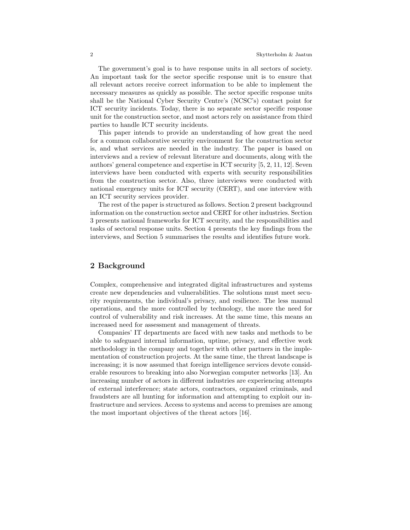The government's goal is to have response units in all sectors of society. An important task for the sector specific response unit is to ensure that all relevant actors receive correct information to be able to implement the necessary measures as quickly as possible. The sector specific response units shall be the National Cyber Security Centre's (NCSC's) contact point for ICT security incidents. Today, there is no separate sector specific response unit for the construction sector, and most actors rely on assistance from third parties to handle ICT security incidents.

This paper intends to provide an understanding of how great the need for a common collaborative security environment for the construction sector is, and what services are needed in the industry. The paper is based on interviews and a review of relevant literature and documents, along with the authors' general competence and expertise in ICT security [5, 2, 11, 12]. Seven interviews have been conducted with experts with security responsibilities from the construction sector. Also, three interviews were conducted with national emergency units for ICT security (CERT), and one interview with an ICT security services provider.

The rest of the paper is structured as follows. Section 2 present background information on the construction sector and CERT for other industries. Section 3 presents national frameworks for ICT security, and the responsibilities and tasks of sectoral response units. Section 4 presents the key findings from the interviews, and Section 5 summarises the results and identifies future work.

# 2 Background

Complex, comprehensive and integrated digital infrastructures and systems create new dependencies and vulnerabilities. The solutions must meet security requirements, the individual's privacy, and resilience. The less manual operations, and the more controlled by technology, the more the need for control of vulnerability and risk increases. At the same time, this means an increased need for assessment and management of threats.

Companies' IT departments are faced with new tasks and methods to be able to safeguard internal information, uptime, privacy, and effective work methodology in the company and together with other partners in the implementation of construction projects. At the same time, the threat landscape is increasing; it is now assumed that foreign intelligence services devote considerable resources to breaking into also Norwegian computer networks [13]. An increasing number of actors in different industries are experiencing attempts of external interference; state actors, contractors, organized criminals, and fraudsters are all hunting for information and attempting to exploit our infrastructure and services. Access to systems and access to premises are among the most important objectives of the threat actors [16].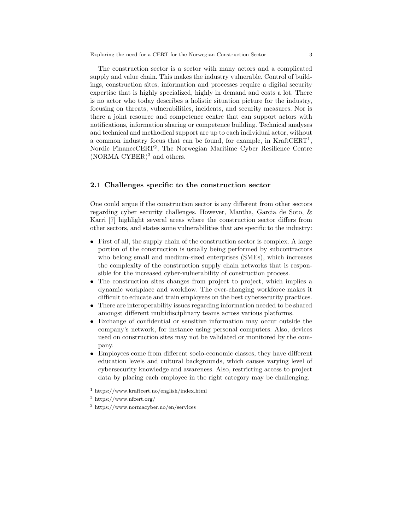The construction sector is a sector with many actors and a complicated supply and value chain. This makes the industry vulnerable. Control of buildings, construction sites, information and processes require a digital security expertise that is highly specialized, highly in demand and costs a lot. There is no actor who today describes a holistic situation picture for the industry, focusing on threats, vulnerabilities, incidents, and security measures. Nor is there a joint resource and competence centre that can support actors with notifications, information sharing or competence building. Technical analyses and technical and methodical support are up to each individual actor, without a common industry focus that can be found, for example, in KraftCERT<sup>1</sup>, Nordic FinanceCERT<sup>2</sup>, The Norwegian Maritime Cyber Resilience Centre (NORMA CYBER)<sup>3</sup> and others.

#### 2.1 Challenges specific to the construction sector

One could argue if the construction sector is any different from other sectors regarding cyber security challenges. However, Mantha, Garcia de Soto, & Karri [7] highlight several areas where the construction sector differs from other sectors, and states some vulnerabilities that are specific to the industry:

- First of all, the supply chain of the construction sector is complex. A large portion of the construction is usually being performed by subcontractors who belong small and medium-sized enterprises (SMEs), which increases the complexity of the construction supply chain networks that is responsible for the increased cyber-vulnerability of construction process.
- The construction sites changes from project to project, which implies a dynamic workplace and workflow. The ever-changing workforce makes it difficult to educate and train employees on the best cybersecurity practices.
- There are interoperability issues regarding information needed to be shared amongst different multidisciplinary teams across various platforms.
- Exchange of confidential or sensitive information may occur outside the company's network, for instance using personal computers. Also, devices used on construction sites may not be validated or monitored by the company.
- Employees come from different socio-economic classes, they have different education levels and cultural backgrounds, which causes varying level of cybersecurity knowledge and awareness. Also, restricting access to project data by placing each employee in the right category may be challenging.

<sup>1</sup> https://www.kraftcert.no/english/index.html

<sup>2</sup> https://www.nfcert.org/

<sup>3</sup> https://www.normacyber.no/en/services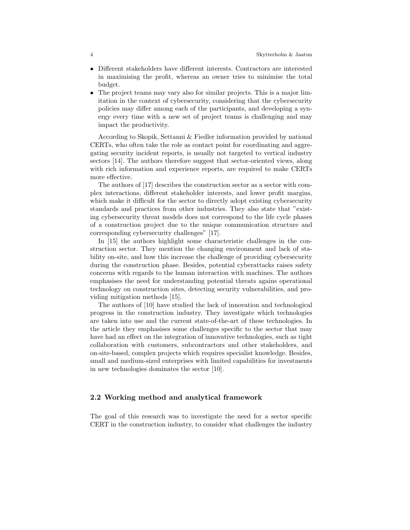- Different stakeholders have different interests. Contractors are interested in maximising the profit, whereas an owner tries to minimise the total budget.
- The project teams may vary also for similar projects. This is a major limitation in the context of cybersecurity, considering that the cybersecurity policies may differ among each of the participants, and developing a synergy every time with a new set of project teams is challenging and may impact the productivity.

According to Skopik, Settanni & Fiedler information provided by national CERTs, who often take the role as contact point for coordinating and aggregating security incident reports, is usually not targeted to vertical industry sectors [14]. The authors therefore suggest that sector-oriented views, along with rich information and experience reports, are required to make CERTs more effective.

The authors of [17] describes the construction sector as a sector with complex interactions, different stakeholder interests, and lower profit margins, which make it difficult for the sector to directly adopt existing cybersecurity standards and practices from other industries. They also state that "existing cybersecurity threat models does not correspond to the life cycle phases of a construction project due to the unique communication structure and corresponding cybersecurity challenges" [17].

In [15] the authors highlight some characteristic challenges in the construction sector. They mention the changing environment and lack of stability on-site, and how this increase the challenge of providing cybersecurity during the construction phase. Besides, potential cyberattacks raises safety concerns with regards to the human interaction with machines. The authors emphasises the need for understanding potential threats agains operational technology on construction sites, detecting security vulnerabilities, and providing mitigation methods [15].

The authors of [10] have studied the lack of innovation and technological progress in the construction industry. They investigate which technologies are taken into use and the current state-of-the-art of these technologies. In the article they emphasises some challenges specific to the sector that may have had an effect on the integration of innovative technologies, such as tight collaboration with customers, subcontractors and other stakeholders, and on-site-based, complex projects which requires specialist knowledge. Besides, small and medium-sized enterprises with limited capabilities for investments in new technologies dominates the sector [10].

## 2.2 Working method and analytical framework

The goal of this research was to investigate the need for a sector specific CERT in the construction industry, to consider what challenges the industry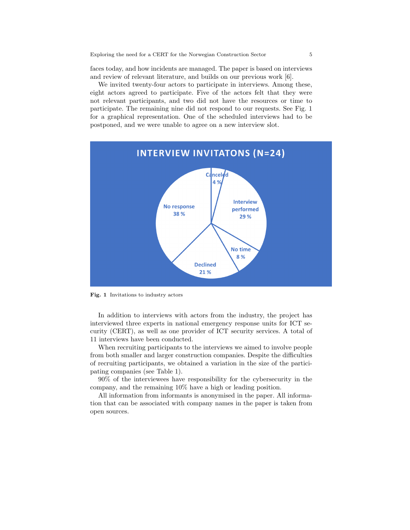faces today, and how incidents are managed. The paper is based on interviews and review of relevant literature, and builds on our previous work [6].

We invited twenty-four actors to participate in interviews. Among these, eight actors agreed to participate. Five of the actors felt that they were not relevant participants, and two did not have the resources or time to participate. The remaining nine did not respond to our requests. See Fig. 1 for a graphical representation. One of the scheduled interviews had to be postponed, and we were unable to agree on a new interview slot.



Fig. 1 Invitations to industry actors

In addition to interviews with actors from the industry, the project has interviewed three experts in national emergency response units for ICT security (CERT), as well as one provider of ICT security services. A total of 11 interviews have been conducted.

When recruiting participants to the interviews we aimed to involve people from both smaller and larger construction companies. Despite the difficulties of recruiting participants, we obtained a variation in the size of the participating companies (see Table 1).

90% of the interviewees have responsibility for the cybersecurity in the company, and the remaining 10% have a high or leading position.

All information from informants is anonymised in the paper. All information that can be associated with company names in the paper is taken from open sources.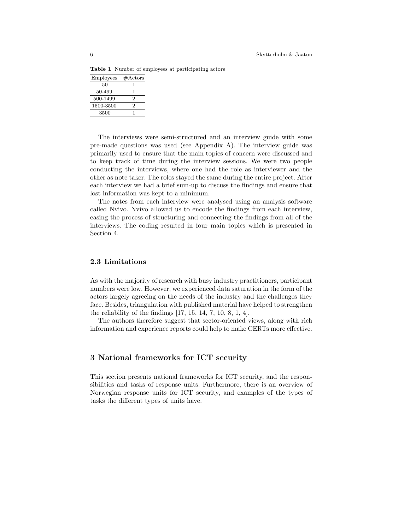Table 1 Number of employees at participating actors

| Employees | $# \text{Actors}$ |
|-----------|-------------------|
| 50        |                   |
| 50-499    | ٦                 |
| 500-1499  | 2                 |
| 1500-3500 | 2                 |
| 3500      |                   |

The interviews were semi-structured and an interview guide with some pre-made questions was used (see Appendix A). The interview guide was primarily used to ensure that the main topics of concern were discussed and to keep track of time during the interview sessions. We were two people conducting the interviews, where one had the role as interviewer and the other as note taker. The roles stayed the same during the entire project. After each interview we had a brief sum-up to discuss the findings and ensure that lost information was kept to a minimum.

The notes from each interview were analysed using an analysis software called Nvivo. Nvivo allowed us to encode the findings from each interview, easing the process of structuring and connecting the findings from all of the interviews. The coding resulted in four main topics which is presented in Section 4.

## 2.3 Limitations

As with the majority of research with busy industry practitioners, participant numbers were low. However, we experienced data saturation in the form of the actors largely agreeing on the needs of the industry and the challenges they face. Besides, triangulation with published material have helped to strengthen the reliability of the findings [17, 15, 14, 7, 10, 8, 1, 4].

The authors therefore suggest that sector-oriented views, along with rich information and experience reports could help to make CERTs more effective.

## 3 National frameworks for ICT security

This section presents national frameworks for ICT security, and the responsibilities and tasks of response units. Furthermore, there is an overview of Norwegian response units for ICT security, and examples of the types of tasks the different types of units have.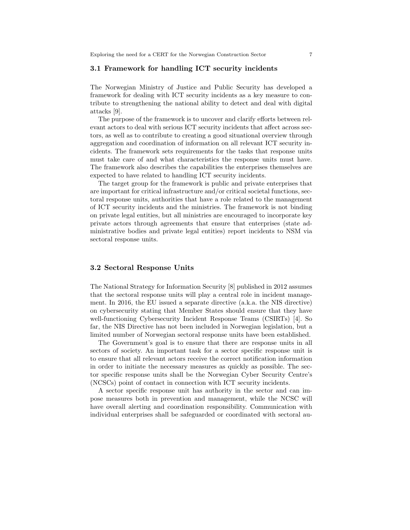#### 3.1 Framework for handling ICT security incidents

The Norwegian Ministry of Justice and Public Security has developed a framework for dealing with ICT security incidents as a key measure to contribute to strengthening the national ability to detect and deal with digital attacks [9].

The purpose of the framework is to uncover and clarify efforts between relevant actors to deal with serious ICT security incidents that affect across sectors, as well as to contribute to creating a good situational overview through aggregation and coordination of information on all relevant ICT security incidents. The framework sets requirements for the tasks that response units must take care of and what characteristics the response units must have. The framework also describes the capabilities the enterprises themselves are expected to have related to handling ICT security incidents.

The target group for the framework is public and private enterprises that are important for critical infrastructure and/or critical societal functions, sectoral response units, authorities that have a role related to the management of ICT security incidents and the ministries. The framework is not binding on private legal entities, but all ministries are encouraged to incorporate key private actors through agreements that ensure that enterprises (state administrative bodies and private legal entities) report incidents to NSM via sectoral response units.

#### 3.2 Sectoral Response Units

The National Strategy for Information Security [8] published in 2012 assumes that the sectoral response units will play a central role in incident management. In 2016, the EU issued a separate directive (a.k.a. the NIS directive) on cybersecurity stating that Member States should ensure that they have well-functioning Cybersecurity Incident Response Teams (CSIRTs) [4]. So far, the NIS Directive has not been included in Norwegian legislation, but a limited number of Norwegian sectoral response units have been established.

The Government's goal is to ensure that there are response units in all sectors of society. An important task for a sector specific response unit is to ensure that all relevant actors receive the correct notification information in order to initiate the necessary measures as quickly as possible. The sector specific response units shall be the Norwegian Cyber Security Centre's (NCSCs) point of contact in connection with ICT security incidents.

A sector specific response unit has authority in the sector and can impose measures both in prevention and management, while the NCSC will have overall alerting and coordination responsibility. Communication with individual enterprises shall be safeguarded or coordinated with sectoral au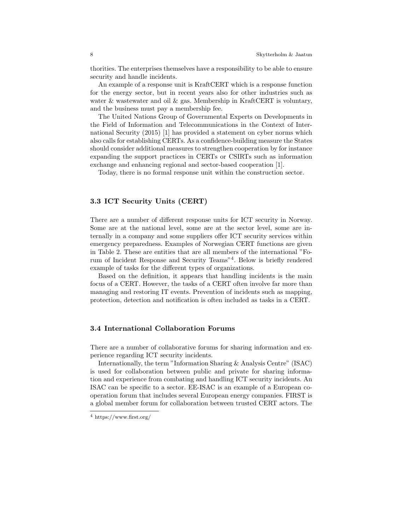thorities. The enterprises themselves have a responsibility to be able to ensure security and handle incidents.

An example of a response unit is KraftCERT which is a response function for the energy sector, but in recent years also for other industries such as water & wastewater and oil  $\&$  gas. Membership in KraftCERT is voluntary, and the business must pay a membership fee.

The United Nations Group of Governmental Experts on Developments in the Field of Information and Telecommunications in the Context of International Security (2015) [1] has provided a statement on cyber norms which also calls for establishing CERTs. As a confidence-building measure the States should consider additional measures to strengthen cooperation by for instance expanding the support practices in CERTs or CSIRTs such as information exchange and enhancing regional and sector-based cooperation [1].

Today, there is no formal response unit within the construction sector.

#### 3.3 ICT Security Units (CERT)

There are a number of different response units for ICT security in Norway. Some are at the national level, some are at the sector level, some are internally in a company and some suppliers offer ICT security services within emergency preparedness. Examples of Norwegian CERT functions are given in Table 2. These are entities that are all members of the international "Forum of Incident Response and Security Teams"<sup>4</sup> . Below is briefly rendered example of tasks for the different types of organizations.

Based on the definition, it appears that handling incidents is the main focus of a CERT. However, the tasks of a CERT often involve far more than managing and restoring IT events. Prevention of incidents such as mapping, protection, detection and notification is often included as tasks in a CERT.

#### 3.4 International Collaboration Forums

There are a number of collaborative forums for sharing information and experience regarding ICT security incidents.

Internationally, the term "Information Sharing & Analysis Centre" (ISAC) is used for collaboration between public and private for sharing information and experience from combating and handling ICT security incidents. An ISAC can be specific to a sector. EE-ISAC is an example of a European cooperation forum that includes several European energy companies. FIRST is a global member forum for collaboration between trusted CERT actors. The

<sup>4</sup> https://www.first.org/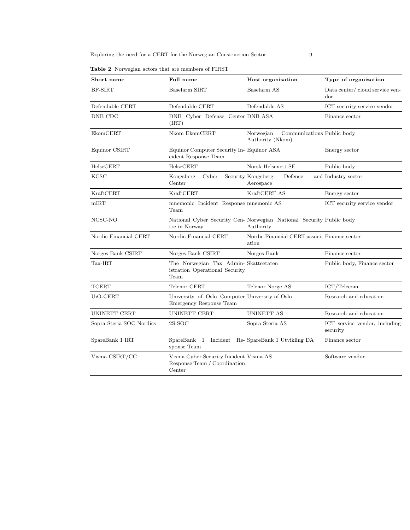|  | <b>Table 2</b> Norwegian actors that are members of FIRST |  |  |  |  |  |  |
|--|-----------------------------------------------------------|--|--|--|--|--|--|
|--|-----------------------------------------------------------|--|--|--|--|--|--|

| Short name               | Full name                                                                        | Host organisation                                                                 | Type of organization                      |  |  |
|--------------------------|----------------------------------------------------------------------------------|-----------------------------------------------------------------------------------|-------------------------------------------|--|--|
| BF-SIRT                  | Basefarm SIRT                                                                    | Basefarm AS                                                                       | Data center/cloud service ven-<br>dor     |  |  |
| Defendable CERT          | Defendable CERT                                                                  | Defendable AS                                                                     | ICT security service vendor               |  |  |
| DNB CDC                  | DNB Cyber Defense Center DNB ASA<br>(IRT)                                        |                                                                                   | Finance sector                            |  |  |
| EkomCERT                 | Nkom EkomCERT                                                                    | Norwegian<br>Communications Public body<br>Authority (Nkom)                       |                                           |  |  |
| Equinor CSIRT            | Equinor Computer Security In- Equinor ASA<br>cident Response Team                |                                                                                   | Energy sector                             |  |  |
| HelseCERT                | HelseCERT                                                                        | Norsk Helsenett SF                                                                | Public body                               |  |  |
| <b>KCSC</b>              | Cyber<br>Kongsberg<br>Center                                                     | Security Kongsberg<br>Defence<br>Aerospace                                        | and Industry sector                       |  |  |
| KraftCERT                | KraftCERT                                                                        | KraftCERT AS                                                                      | Energy sector                             |  |  |
| mIRT                     | mnemonic Incident Response mnemonic AS<br>Team                                   |                                                                                   | ICT security service vendor               |  |  |
| NCSC-NO                  | tre in Norway                                                                    | National Cyber Security Cen- Norwegian National Security Public body<br>Authority |                                           |  |  |
| Nordic Financial CERT    | Nordic Financial CERT                                                            | Nordic Financial CERT associ- Finance sector<br>ation                             |                                           |  |  |
| Norges Bank CSIRT        | Norges Bank CSIRT                                                                | Norges Bank                                                                       | Finance sector                            |  |  |
| Tax-IRT                  | The Norwegian Tax Admin-Skatteetaten<br>istration Operational Security<br>Team   |                                                                                   | Public body, Finance sector               |  |  |
| <b>TCERT</b>             | Telenor CERT                                                                     | Telenor Norge AS                                                                  | ICT/Telecom                               |  |  |
| UiO-CERT                 | University of Oslo Computer University of Oslo<br>Emergency Response Team        |                                                                                   | Research and education                    |  |  |
| <b>UNINETT CERT</b>      | UNINETT CERT                                                                     | UNINETT AS                                                                        | Research and education                    |  |  |
| Sopra Steria SOC Nordics | $2S-SOC$                                                                         | Sopra Steria AS                                                                   | ICT service vendor, including<br>security |  |  |
| SpareBank 1 IRT          | SpareBank 1 Incident Re- SpareBank 1 Utvikling DA<br>sponse Team                 |                                                                                   | Finance sector                            |  |  |
| Visma CSIRT/CC           | Visma Cyber Security Incident Visma AS<br>Response Team / Coordination<br>Center |                                                                                   | Software vendor                           |  |  |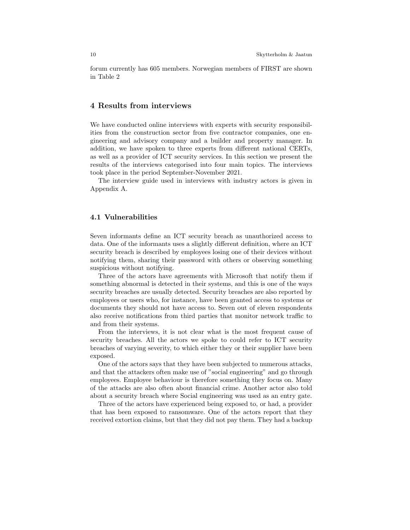forum currently has 605 members. Norwegian members of FIRST are shown in Table 2

## 4 Results from interviews

We have conducted online interviews with experts with security responsibilities from the construction sector from five contractor companies, one engineering and advisory company and a builder and property manager. In addition, we have spoken to three experts from different national CERTs, as well as a provider of ICT security services. In this section we present the results of the interviews categorised into four main topics. The interviews took place in the period September-November 2021.

The interview guide used in interviews with industry actors is given in Appendix A.

#### 4.1 Vulnerabilities

Seven informants define an ICT security breach as unauthorized access to data. One of the informants uses a slightly different definition, where an ICT security breach is described by employees losing one of their devices without notifying them, sharing their password with others or observing something suspicious without notifying.

Three of the actors have agreements with Microsoft that notify them if something abnormal is detected in their systems, and this is one of the ways security breaches are usually detected. Security breaches are also reported by employees or users who, for instance, have been granted access to systems or documents they should not have access to. Seven out of eleven respondents also receive notifications from third parties that monitor network traffic to and from their systems.

From the interviews, it is not clear what is the most frequent cause of security breaches. All the actors we spoke to could refer to ICT security breaches of varying severity, to which either they or their supplier have been exposed.

One of the actors says that they have been subjected to numerous attacks, and that the attackers often make use of "social engineering" and go through employees. Employee behaviour is therefore something they focus on. Many of the attacks are also often about financial crime. Another actor also told about a security breach where Social engineering was used as an entry gate.

Three of the actors have experienced being exposed to, or had, a provider that has been exposed to ransomware. One of the actors report that they received extortion claims, but that they did not pay them. They had a backup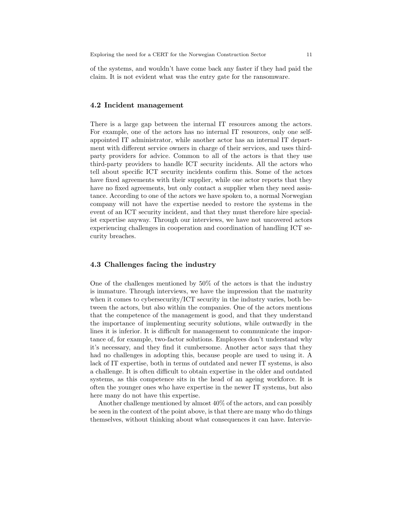of the systems, and wouldn't have come back any faster if they had paid the claim. It is not evident what was the entry gate for the ransomware.

#### 4.2 Incident management

There is a large gap between the internal IT resources among the actors. For example, one of the actors has no internal IT resources, only one selfappointed IT administrator, while another actor has an internal IT department with different service owners in charge of their services, and uses thirdparty providers for advice. Common to all of the actors is that they use third-party providers to handle ICT security incidents. All the actors who tell about specific ICT security incidents confirm this. Some of the actors have fixed agreements with their supplier, while one actor reports that they have no fixed agreements, but only contact a supplier when they need assistance. According to one of the actors we have spoken to, a normal Norwegian company will not have the expertise needed to restore the systems in the event of an ICT security incident, and that they must therefore hire specialist expertise anyway. Through our interviews, we have not uncovered actors experiencing challenges in cooperation and coordination of handling ICT security breaches.

## 4.3 Challenges facing the industry

One of the challenges mentioned by 50% of the actors is that the industry is immature. Through interviews, we have the impression that the maturity when it comes to cybersecurity/ICT security in the industry varies, both between the actors, but also within the companies. One of the actors mentions that the competence of the management is good, and that they understand the importance of implementing security solutions, while outwardly in the lines it is inferior. It is difficult for management to communicate the importance of, for example, two-factor solutions. Employees don't understand why it's necessary, and they find it cumbersome. Another actor says that they had no challenges in adopting this, because people are used to using it. A lack of IT expertise, both in terms of outdated and newer IT systems, is also a challenge. It is often difficult to obtain expertise in the older and outdated systems, as this competence sits in the head of an ageing workforce. It is often the younger ones who have expertise in the newer IT systems, but also here many do not have this expertise.

Another challenge mentioned by almost 40% of the actors, and can possibly be seen in the context of the point above, is that there are many who do things themselves, without thinking about what consequences it can have. Intervie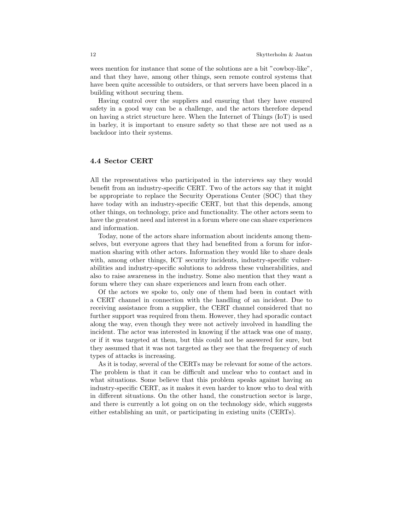wees mention for instance that some of the solutions are a bit "cowboy-like", and that they have, among other things, seen remote control systems that have been quite accessible to outsiders, or that servers have been placed in a building without securing them.

Having control over the suppliers and ensuring that they have ensured safety in a good way can be a challenge, and the actors therefore depend on having a strict structure here. When the Internet of Things (IoT) is used in barley, it is important to ensure safety so that these are not used as a backdoor into their systems.

## 4.4 Sector CERT

All the representatives who participated in the interviews say they would benefit from an industry-specific CERT. Two of the actors say that it might be appropriate to replace the Security Operations Center (SOC) that they have today with an industry-specific CERT, but that this depends, among other things, on technology, price and functionality. The other actors seem to have the greatest need and interest in a forum where one can share experiences and information.

Today, none of the actors share information about incidents among themselves, but everyone agrees that they had benefited from a forum for information sharing with other actors. Information they would like to share deals with, among other things, ICT security incidents, industry-specific vulnerabilities and industry-specific solutions to address these vulnerabilities, and also to raise awareness in the industry. Some also mention that they want a forum where they can share experiences and learn from each other.

Of the actors we spoke to, only one of them had been in contact with a CERT channel in connection with the handling of an incident. Due to receiving assistance from a supplier, the CERT channel considered that no further support was required from them. However, they had sporadic contact along the way, even though they were not actively involved in handling the incident. The actor was interested in knowing if the attack was one of many, or if it was targeted at them, but this could not be answered for sure, but they assumed that it was not targeted as they see that the frequency of such types of attacks is increasing.

As it is today, several of the CERTs may be relevant for some of the actors. The problem is that it can be difficult and unclear who to contact and in what situations. Some believe that this problem speaks against having an industry-specific CERT, as it makes it even harder to know who to deal with in different situations. On the other hand, the construction sector is large, and there is currently a lot going on on the technology side, which suggests either establishing an unit, or participating in existing units (CERTs).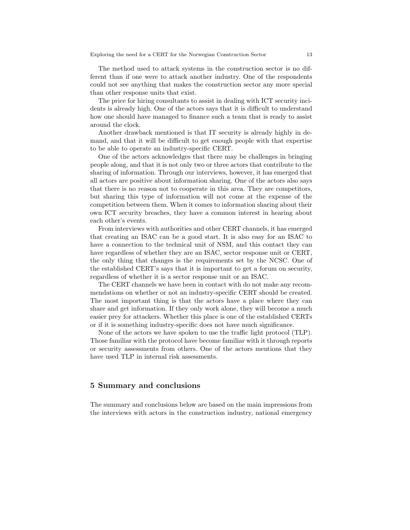The method used to attack systems in the construction sector is no different than if one were to attack another industry. One of the respondents could not see anything that makes the construction sector any more special than other response units that exist.

The price for hiring consultants to assist in dealing with ICT security incidents is already high. One of the actors says that it is difficult to understand how one should have managed to finance such a team that is ready to assist around the clock.

Another drawback mentioned is that IT security is already highly in demand, and that it will be difficult to get enough people with that expertise to be able to operate an industry-specific CERT.

One of the actors acknowledges that there may be challenges in bringing people along, and that it is not only two or three actors that contribute to the sharing of information. Through our interviews, however, it has emerged that all actors are positive about information sharing. One of the actors also says that there is no reason not to cooperate in this area. They are competitors, but sharing this type of information will not come at the expense of the competition between them. When it comes to information sharing about their own ICT security breaches, they have a common interest in hearing about each other's events.

From interviews with authorities and other CERT channels, it has emerged that creating an ISAC can be a good start. It is also easy for an ISAC to have a connection to the technical unit of NSM, and this contact they can have regardless of whether they are an ISAC, sector response unit or CERT, the only thing that changes is the requirements set by the NCSC. One of the established CERT's says that it is important to get a forum on security, regardless of whether it is a sector response unit or an ISAC.

The CERT channels we have been in contact with do not make any recommendations on whether or not an industry-specific CERT should be created. The most important thing is that the actors have a place where they can share and get information. If they only work alone, they will become a much easier prey for attackers. Whether this place is one of the established CERTs or if it is something industry-specific does not have much significance.

None of the actors we have spoken to use the traffic light protocol (TLP). Those familiar with the protocol have become familiar with it through reports or security assessments from others. One of the actors mentions that they have used TLP in internal risk assessments.

## 5 Summary and conclusions

The summary and conclusions below are based on the main impressions from the interviews with actors in the construction industry, national emergency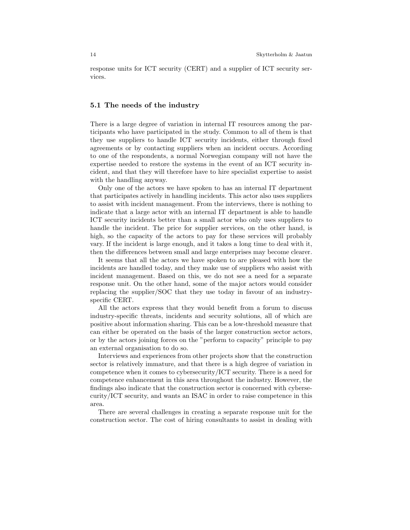response units for ICT security (CERT) and a supplier of ICT security services.

#### 5.1 The needs of the industry

There is a large degree of variation in internal IT resources among the participants who have participated in the study. Common to all of them is that they use suppliers to handle ICT security incidents, either through fixed agreements or by contacting suppliers when an incident occurs. According to one of the respondents, a normal Norwegian company will not have the expertise needed to restore the systems in the event of an ICT security incident, and that they will therefore have to hire specialist expertise to assist with the handling anyway.

Only one of the actors we have spoken to has an internal IT department that participates actively in handling incidents. This actor also uses suppliers to assist with incident management. From the interviews, there is nothing to indicate that a large actor with an internal IT department is able to handle ICT security incidents better than a small actor who only uses suppliers to handle the incident. The price for supplier services, on the other hand, is high, so the capacity of the actors to pay for these services will probably vary. If the incident is large enough, and it takes a long time to deal with it, then the differences between small and large enterprises may become clearer.

It seems that all the actors we have spoken to are pleased with how the incidents are handled today, and they make use of suppliers who assist with incident management. Based on this, we do not see a need for a separate response unit. On the other hand, some of the major actors would consider replacing the supplier/SOC that they use today in favour of an industryspecific CERT.

All the actors express that they would benefit from a forum to discuss industry-specific threats, incidents and security solutions, all of which are positive about information sharing. This can be a low-threshold measure that can either be operated on the basis of the larger construction sector actors, or by the actors joining forces on the "perform to capacity" principle to pay an external organisation to do so.

Interviews and experiences from other projects show that the construction sector is relatively immature, and that there is a high degree of variation in competence when it comes to cybersecurity/ICT security. There is a need for competence enhancement in this area throughout the industry. However, the findings also indicate that the construction sector is concerned with cybersecurity/ICT security, and wants an ISAC in order to raise competence in this area.

There are several challenges in creating a separate response unit for the construction sector. The cost of hiring consultants to assist in dealing with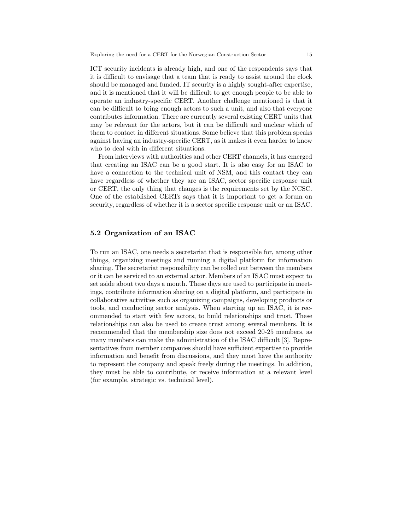ICT security incidents is already high, and one of the respondents says that it is difficult to envisage that a team that is ready to assist around the clock should be managed and funded. IT security is a highly sought-after expertise, and it is mentioned that it will be difficult to get enough people to be able to operate an industry-specific CERT. Another challenge mentioned is that it can be difficult to bring enough actors to such a unit, and also that everyone contributes information. There are currently several existing CERT units that may be relevant for the actors, but it can be difficult and unclear which of them to contact in different situations. Some believe that this problem speaks against having an industry-specific CERT, as it makes it even harder to know who to deal with in different situations.

From interviews with authorities and other CERT channels, it has emerged that creating an ISAC can be a good start. It is also easy for an ISAC to have a connection to the technical unit of NSM, and this contact they can have regardless of whether they are an ISAC, sector specific response unit or CERT, the only thing that changes is the requirements set by the NCSC. One of the established CERTs says that it is important to get a forum on security, regardless of whether it is a sector specific response unit or an ISAC.

#### 5.2 Organization of an ISAC

To run an ISAC, one needs a secretariat that is responsible for, among other things, organizing meetings and running a digital platform for information sharing. The secretariat responsibility can be rolled out between the members or it can be serviced to an external actor. Members of an ISAC must expect to set aside about two days a month. These days are used to participate in meetings, contribute information sharing on a digital platform, and participate in collaborative activities such as organizing campaigns, developing products or tools, and conducting sector analysis. When starting up an ISAC, it is recommended to start with few actors, to build relationships and trust. These relationships can also be used to create trust among several members. It is recommended that the membership size does not exceed 20-25 members, as many members can make the administration of the ISAC difficult [3]. Representatives from member companies should have sufficient expertise to provide information and benefit from discussions, and they must have the authority to represent the company and speak freely during the meetings. In addition, they must be able to contribute, or receive information at a relevant level (for example, strategic vs. technical level).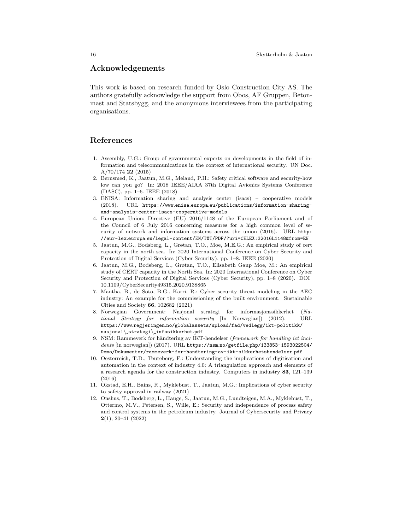## Acknowledgements

This work is based on research funded by Oslo Construction City AS. The authors gratefully acknowledge the support from Obos, AF Gruppen, Betonmast and Statsbygg, and the anonymous interviewees from the participating organisations.

## References

- 1. Assembly, U.G.: Group of governmental experts on developments in the field of information and telecommunications in the context of international security. UN Doc. A/70/174 22 (2015)
- 2. Bernsmed, K., Jaatun, M.G., Meland, P.H.: Safety critical software and security-how low can you go? In: 2018 IEEE/AIAA 37th Digital Avionics Systems Conference (DASC), pp. 1–6. IEEE (2018)
- 3. ENISA: Information sharing and analysis center (isacs) cooperative models (2018). URL https://www.enisa.europa.eu/publications/information-sharingand-analysis-center-isacs-cooperative-models
- 4. European Union: Directive (EU) 2016/1148 of the European Parliament and of the Council of 6 July 2016 concerning measures for a high common level of security of network and information systems across the union (2016). URL http: //eur-lex.europa.eu/legal-content/EN/TXT/PDF/?uri=CELEX:32016L1148&from=EN
- 5. Jaatun, M.G., Bodsberg, L., Grøtan, T.O., Moe, M.E.G.: An empirical study of cert capacity in the north sea. In: 2020 International Conference on Cyber Security and Protection of Digital Services (Cyber Security), pp. 1–8. IEEE (2020)
- 6. Jaatun, M.G., Bodsberg, L., Grøtan, T.O., Elisabeth Gaup Moe, M.: An empirical study of CERT capacity in the North Sea. In: 2020 International Conference on Cyber Security and Protection of Digital Services (Cyber Security), pp. 1–8 (2020). DOI 10.1109/CyberSecurity49315.2020.9138865
- 7. Mantha, B., de Soto, B.G., Karri, R.: Cyber security threat modeling in the AEC industry: An example for the commissioning of the built environment. Sustainable Cities and Society 66, 102682 (2021)
- 8. Norwegian Government: Nasjonal strategi for informasjonssikkerhet (National Strategy for information security [In Norwegian]) (2012). URL https://www.regjeringen.no/globalassets/upload/fad/vedlegg/ikt-politikk/ nasjonal\ strategi\ infosikkerhet.pdf
- 9. NSM: Rammeverk for håndtering av IKT-hendelser (framework for handling ict incidents [in norwegian]) (2017). URL https://nsm.no/getfile.php/133853-1593022504/ Demo/Dokumenter/rammeverk-for-handtering-av-ikt-sikkerhetshendelser.pdf
- 10. Oesterreich, T.D., Teuteberg, F.: Understanding the implications of digitisation and automation in the context of industry 4.0: A triangulation approach and elements of a research agenda for the construction industry. Computers in industry 83, 121–139 (2016)
- 11. Okstad, E.H., Bains, R., Myklebust, T., Jaatun, M.G.: Implications of cyber security to safety approval in railway (2021)
- 12. Onshus, T., Bodsberg, L., Hauge, S., Jaatun, M.G., Lundteigen, M.A., Myklebust, T., Ottermo, M.V., Petersen, S., Wille, E.: Security and independence of process safety and control systems in the petroleum industry. Journal of Cybersecurity and Privacy 2(1), 20–41 (2022)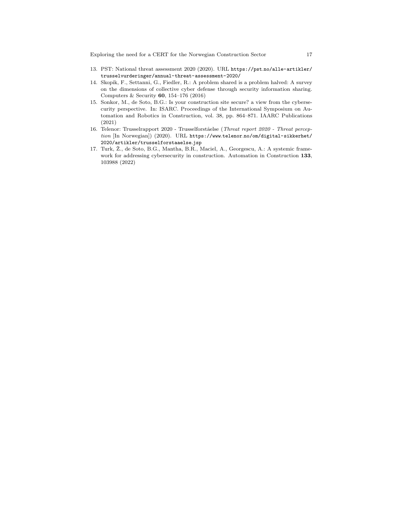- 13. PST: National threat assessment 2020 (2020). URL https://pst.no/alle-artikler/ trusselvurderinger/annual-threat-assessment-2020/
- 14. Skopik, F., Settanni, G., Fiedler, R.: A problem shared is a problem halved: A survey on the dimensions of collective cyber defense through security information sharing. Computers & Security 60, 154–176 (2016)
- 15. Sonkor, M., de Soto, B.G.: Is your construction site secure? a view from the cybersecurity perspective. In: ISARC. Proceedings of the International Symposium on Automation and Robotics in Construction, vol. 38, pp. 864–871. IAARC Publications (2021)
- 16. Telenor: Trusselrapport 2020 Trusselforståelse (Threat report 2020 Threat perception [In Norwegian]) (2020). URL https://www.telenor.no/om/digital-sikkerhet/ 2020/artikler/trusselforstaaelse.jsp
- 17. Turk, Ž., de Soto, B.G., Mantha, B.R., Maciel, A., Georgescu, A.: A systemic framework for addressing cybersecurity in construction. Automation in Construction 133, 103988 (2022)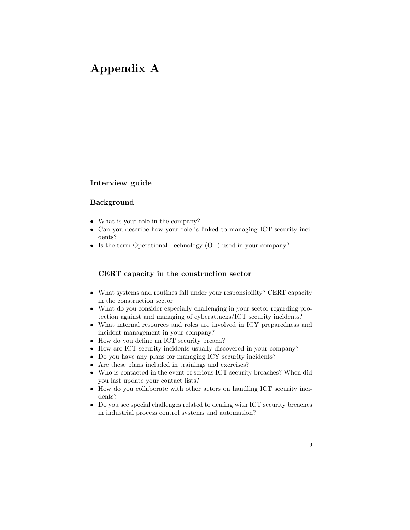# Appendix A

## Interview guide

## Background

- What is your role in the company?
- Can you describe how your role is linked to managing ICT security incidents?
- Is the term Operational Technology (OT) used in your company?

## CERT capacity in the construction sector

- What systems and routines fall under your responsibility? CERT capacity in the construction sector
- What do you consider especially challenging in your sector regarding protection against and managing of cyberattacks/ICT security incidents?
- What internal resources and roles are involved in ICY preparedness and incident management in your company?
- How do you define an ICT security breach?
- How are ICT security incidents usually discovered in your company?
- Do you have any plans for managing ICY security incidents?
- Are these plans included in trainings and exercises?
- Who is contacted in the event of serious ICT security breaches? When did you last update your contact lists?
- How do you collaborate with other actors on handling ICT security incidents?
- Do you see special challenges related to dealing with ICT security breaches in industrial process control systems and automation?